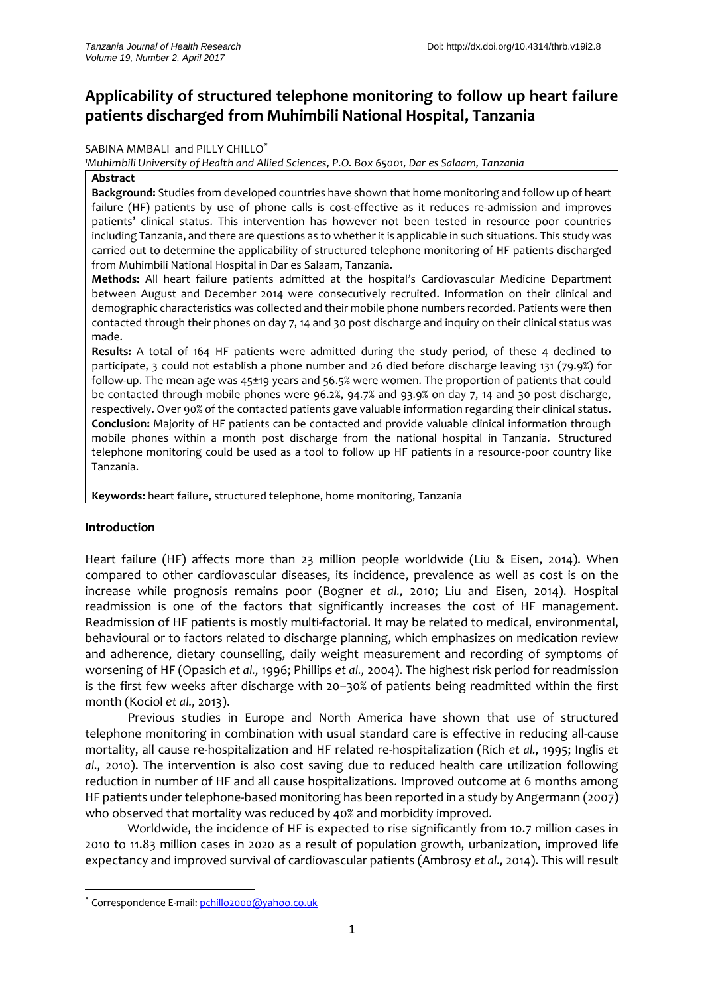# **Applicability of structured telephone monitoring to follow up heart failure patients discharged from Muhimbili National Hospital, Tanzania**

#### SABINA MMBALI and PILLY CHILLO\*

*<sup>1</sup>Muhimbili University of Health and Allied Sciences, P.O. Box 65001, Dar es Salaam, Tanzania*

#### **Abstract**

**Background:** Studies from developed countries have shown that home monitoring and follow up of heart failure (HF) patients by use of phone calls is cost-effective as it reduces re-admission and improves patients' clinical status. This intervention has however not been tested in resource poor countries including Tanzania, and there are questions as to whether it is applicable in such situations. This study was carried out to determine the applicability of structured telephone monitoring of HF patients discharged from Muhimbili National Hospital in Dar es Salaam, Tanzania.

**Methods:** All heart failure patients admitted at the hospital's Cardiovascular Medicine Department between August and December 2014 were consecutively recruited. Information on their clinical and demographic characteristics was collected and their mobile phone numbers recorded. Patients were then contacted through their phones on day 7, 14 and 30 post discharge and inquiry on their clinical status was made.

**Results:** A total of 164 HF patients were admitted during the study period, of these 4 declined to participate, 3 could not establish a phone number and 26 died before discharge leaving 131 (79.9%) for follow-up. The mean age was 45±19 years and 56.5% were women. The proportion of patients that could be contacted through mobile phones were 96.2%, 94.7% and 93.9% on day 7, 14 and 30 post discharge, respectively. Over 90% of the contacted patients gave valuable information regarding their clinical status. **Conclusion:** Majority of HF patients can be contacted and provide valuable clinical information through mobile phones within a month post discharge from the national hospital in Tanzania. Structured telephone monitoring could be used as a tool to follow up HF patients in a resource-poor country like Tanzania.

**Keywords:** heart failure, structured telephone, home monitoring, Tanzania

# **Introduction**

1

Heart failure (HF) affects more than 23 million people worldwide [\(Liu & Eisen,](#page-7-0) 2014). When compared to other cardiovascular diseases, its incidence, prevalence as well as cost is on the increase while prognosis remains poor [\(Bogner](#page-7-1) *et al.,* 2010; [Liu and Eisen,](#page-7-0) 2014). Hospital readmission is one of the factors that significantly increases the cost of HF management. Readmission of HF patients is mostly multi-factorial. It may be related to medical, environmental, behavioural or to factors related to discharge planning, which emphasizes on medication review and adherence, dietary counselling, daily weight measurement and recording of symptoms of worsening of HF [\(Opasich](#page-8-0) *et al.,* 1996; [Phillips](#page-8-1) *et al.,* 2004). The highest risk period for readmission is the first few weeks after discharge with 20–30% of patients being readmitted within the first month [\(Kociol](#page-7-2) *et al.,* 2013).

Previous studies in Europe and North America have shown that use of structured telephone monitoring in combination with usual standard care is effective in reducing all-cause mortality, all cause re-hospitalization and HF related re-hospitalization (Rich *[et al.,](#page-8-2)* 1995; [Inglis](#page-7-3) *et al.,* [2010\)](#page-7-3). The intervention is also cost saving due to reduced health care utilization following reduction in number of HF and all cause hospitalizations. Improved outcome at 6 months among HF patients under telephone-based monitoring has been reported in a study by Angermann (2007) who observed that mortality was reduced by 40% and morbidity improved.

Worldwide, the incidence of HF is expected to rise significantly from 10.7 million cases in 2010 to 11.83 million cases in 2020 as a result of population growth, urbanization, improved life expectancy and improved survival of cardiovascular patients [\(Ambrosy](#page-7-4) *et al.,* 2014). This will result

<sup>\*</sup> Correspondence E-mail[: pchillo2000@yahoo.co.uk](mailto:pchillo2000@yahoo.co.uk)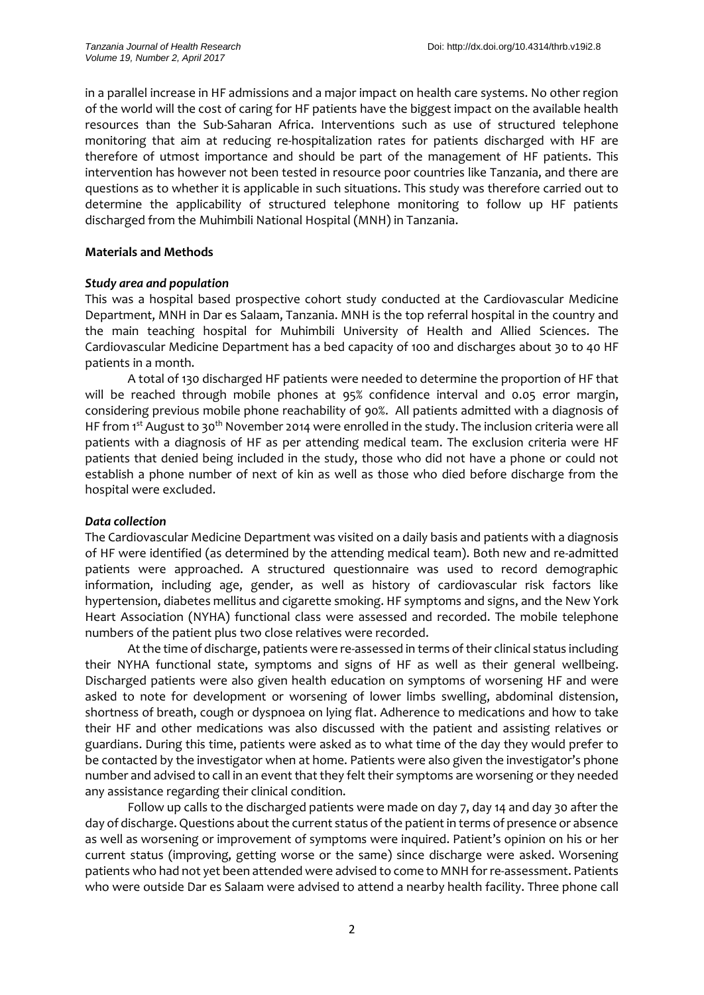in a parallel increase in HF admissions and a major impact on health care systems. No other region of the world will the cost of caring for HF patients have the biggest impact on the available health resources than the Sub-Saharan Africa. Interventions such as use of structured telephone monitoring that aim at reducing re-hospitalization rates for patients discharged with HF are therefore of utmost importance and should be part of the management of HF patients. This intervention has however not been tested in resource poor countries like Tanzania, and there are questions as to whether it is applicable in such situations. This study was therefore carried out to determine the applicability of structured telephone monitoring to follow up HF patients discharged from the Muhimbili National Hospital (MNH) in Tanzania.

# **Materials and Methods**

# *Study area and population*

This was a hospital based prospective cohort study conducted at the Cardiovascular Medicine Department, MNH in Dar es Salaam, Tanzania. MNH is the top referral hospital in the country and the main teaching hospital for Muhimbili University of Health and Allied Sciences. The Cardiovascular Medicine Department has a bed capacity of 100 and discharges about 30 to 40 HF patients in a month.

A total of 130 discharged HF patients were needed to determine the proportion of HF that will be reached through mobile phones at 95% confidence interval and 0.05 error margin, considering previous mobile phone reachability of 90%. All patients admitted with a diagnosis of HF from 1<sup>st</sup> August to 30<sup>th</sup> November 2014 were enrolled in the study. The inclusion criteria were all patients with a diagnosis of HF as per attending medical team. The exclusion criteria were HF patients that denied being included in the study, those who did not have a phone or could not establish a phone number of next of kin as well as those who died before discharge from the hospital were excluded.

# *Data collection*

The Cardiovascular Medicine Department was visited on a daily basis and patients with a diagnosis of HF were identified (as determined by the attending medical team). Both new and re-admitted patients were approached. A structured questionnaire was used to record demographic information, including age, gender, as well as history of cardiovascular risk factors like hypertension, diabetes mellitus and cigarette smoking. HF symptoms and signs, and the New York Heart Association (NYHA) functional class were assessed and recorded. The mobile telephone numbers of the patient plus two close relatives were recorded.

At the time of discharge, patients were re-assessed in terms of their clinical status including their NYHA functional state, symptoms and signs of HF as well as their general wellbeing. Discharged patients were also given health education on symptoms of worsening HF and were asked to note for development or worsening of lower limbs swelling, abdominal distension, shortness of breath, cough or dyspnoea on lying flat. Adherence to medications and how to take their HF and other medications was also discussed with the patient and assisting relatives or guardians. During this time, patients were asked as to what time of the day they would prefer to be contacted by the investigator when at home. Patients were also given the investigator's phone number and advised to call in an event that they felt their symptoms are worsening or they needed any assistance regarding their clinical condition.

Follow up calls to the discharged patients were made on day 7, day 14 and day 30 after the day of discharge. Questions about the current status of the patient in terms of presence or absence as well as worsening or improvement of symptoms were inquired. Patient's opinion on his or her current status (improving, getting worse or the same) since discharge were asked. Worsening patients who had not yet been attended were advised to come to MNH for re-assessment. Patients who were outside Dar es Salaam were advised to attend a nearby health facility. Three phone call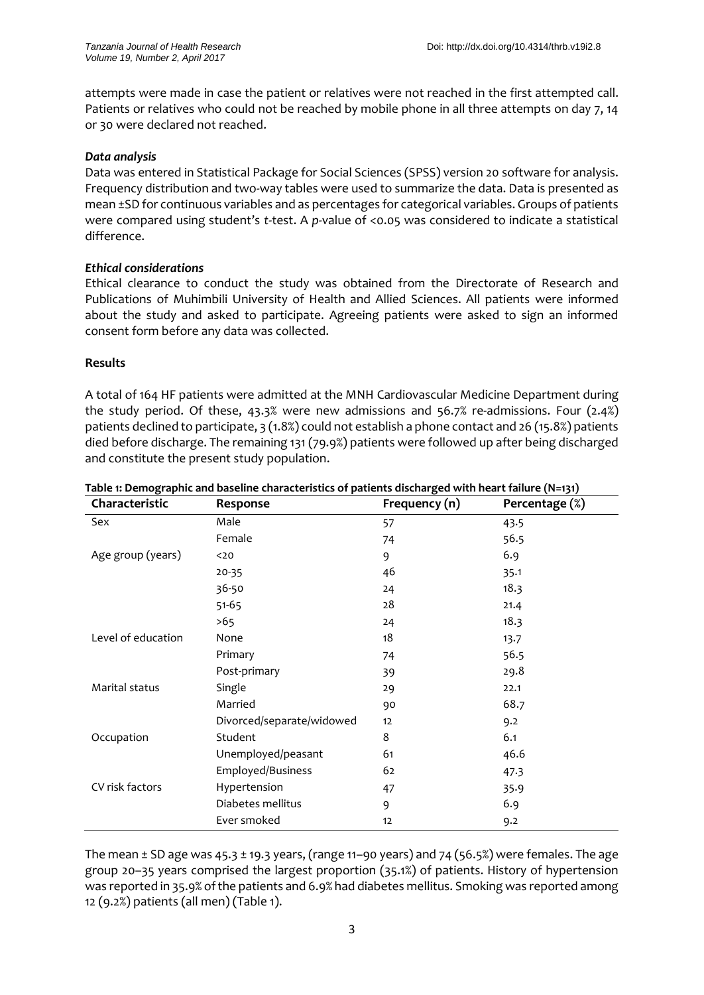attempts were made in case the patient or relatives were not reached in the first attempted call. Patients or relatives who could not be reached by mobile phone in all three attempts on day 7, 14 or 30 were declared not reached.

# *Data analysis*

Data was entered in Statistical Package for Social Sciences (SPSS) version 20 software for analysis. Frequency distribution and two-way tables were used to summarize the data. Data is presented as mean ±SD for continuous variables and as percentages for categorical variables. Groups of patients were compared using student's *t*-test. A *p*-value of <0.05 was considered to indicate a statistical difference.

# *Ethical considerations*

Ethical clearance to conduct the study was obtained from the Directorate of Research and Publications of Muhimbili University of Health and Allied Sciences. All patients were informed about the study and asked to participate. Agreeing patients were asked to sign an informed consent form before any data was collected.

# **Results**

A total of 164 HF patients were admitted at the MNH Cardiovascular Medicine Department during the study period. Of these, 43.3% were new admissions and 56.7% re-admissions. Four (2.4%) patients declined to participate, 3 (1.8%) could not establish a phone contact and 26 (15.8%) patients died before discharge. The remaining 131 (79.9%) patients were followed up after being discharged and constitute the present study population.

| Characteristic     | Response                  | Frequency (n) | Percentage (%) |
|--------------------|---------------------------|---------------|----------------|
| Sex                | Male                      | 57            | 43.5           |
|                    | Female                    | 74            | 56.5           |
| Age group (years)  | $20$                      | 9             | 6.9            |
|                    | $20 - 35$                 | 46            | 35.1           |
|                    | 36-50                     | 24            | 18.3           |
|                    | $51 - 65$                 | 28            | 21.4           |
|                    | >65                       | 24            | 18.3           |
| Level of education | None                      | 18            | 13.7           |
|                    | Primary                   | 74            | 56.5           |
|                    | Post-primary              | 39            | 29.8           |
| Marital status     | Single                    | 29            | 22.1           |
|                    | Married                   | 90            | 68.7           |
|                    | Divorced/separate/widowed | 12            | 9.2            |
| Occupation         | Student                   | 8             | 6.1            |
|                    | Unemployed/peasant        | 61            | 46.6           |
|                    | Employed/Business         | 62            | 47.3           |
| CV risk factors    | Hypertension              | 47            | 35.9           |
|                    | Diabetes mellitus         | 9             | 6.9            |
|                    | Ever smoked               | 12            | 9.2            |

**Table 1: Demographic and baseline characteristics of patients discharged with heart failure (N=131)**

The mean  $\pm$  SD age was 45.3  $\pm$  19.3 years, (range 11–90 years) and 74 (56.5%) were females. The age group 20–35 years comprised the largest proportion (35.1%) of patients. History of hypertension was reported in 35.9% of the patients and 6.9% had diabetes mellitus. Smoking was reported among 12 (9.2%) patients (all men) (Table 1).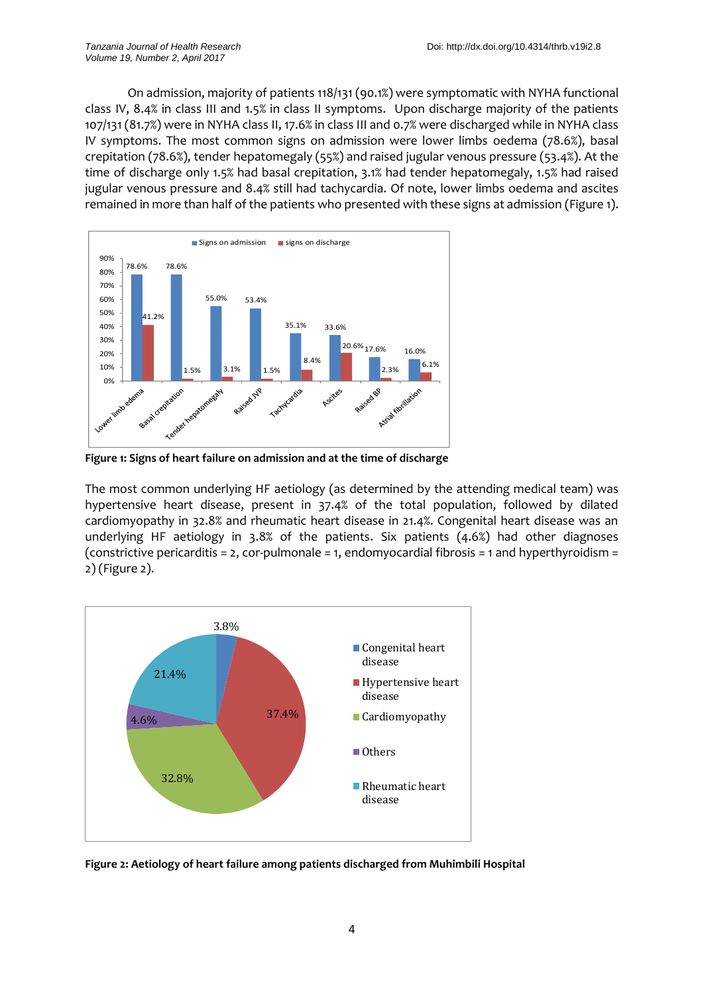On admission, majority of patients 118/131 (90.1%) were symptomatic with NYHA functional class IV, 8.4% in class III and 1.5% in class II symptoms. Upon discharge majority of the patients 107/131 (81.7%) were in NYHA class II, 17.6% in class III and 0.7% were discharged while in NYHA class IV symptoms. The most common signs on admission were lower limbs oedema (78.6%), basal crepitation (78.6%), tender hepatomegaly (55%) and raised jugular venous pressure (53.4%). At the time of discharge only 1.5% had basal crepitation, 3.1% had tender hepatomegaly, 1.5% had raised jugular venous pressure and 8.4% still had tachycardia. Of note, lower limbs oedema and ascites remained in more than half of the patients who presented with these signs at admission (Figure 1).



**Figure 1: Signs of heart failure on admission and at the time of discharge**

The most common underlying HF aetiology (as determined by the attending medical team) was hypertensive heart disease, present in 37.4% of the total population, followed by dilated cardiomyopathy in 32.8% and rheumatic heart disease in 21.4%. Congenital heart disease was an underlying HF aetiology in 3.8% of the patients. Six patients (4.6%) had other diagnoses (constrictive pericarditis = 2, cor-pulmonale = 1, endomyocardial fibrosis = 1 and hyperthyroidism = 2) (Figure 2).



**Figure 2: Aetiology of heart failure among patients discharged from Muhimbili Hospital**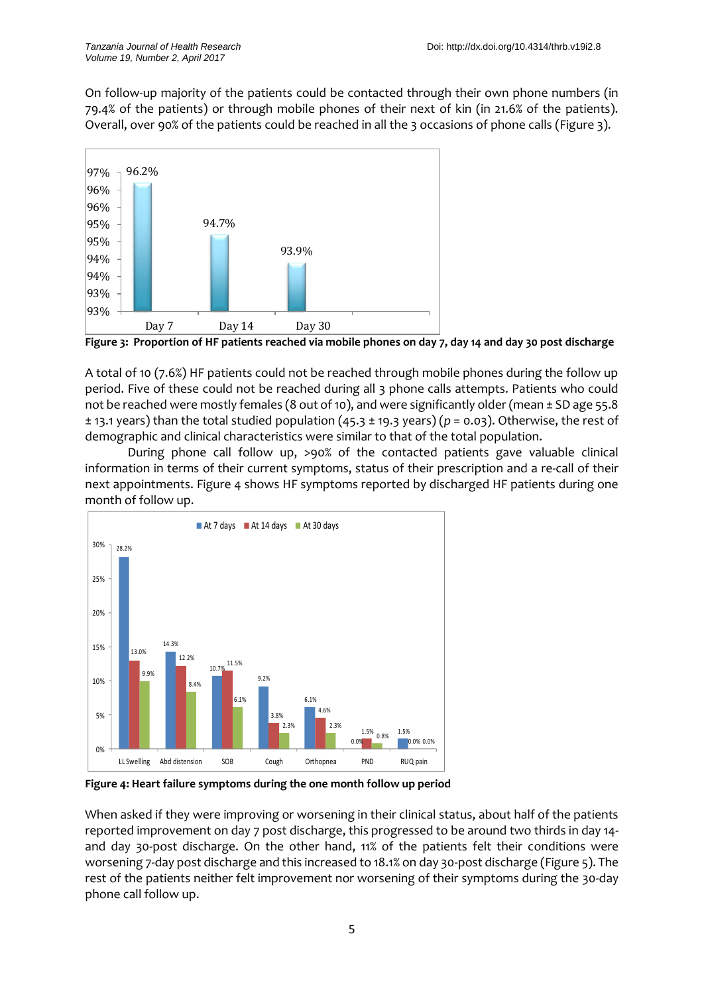On follow-up majority of the patients could be contacted through their own phone numbers (in 79.4% of the patients) or through mobile phones of their next of kin (in 21.6% of the patients). Overall, over 90% of the patients could be reached in all the 3 occasions of phone calls (Figure 3).



**Figure 3: Proportion of HF patients reached via mobile phones on day 7, day 14 and day 30 post discharge**

A total of 10 (7.6%) HF patients could not be reached through mobile phones during the follow up period. Five of these could not be reached during all 3 phone calls attempts. Patients who could not be reached were mostly females (8 out of 10), and were significantly older (mean ± SD age 55.8 ± 13.1 years) than the total studied population (45.3 ± 19.3 years) (*p* = 0.03). Otherwise, the rest of demographic and clinical characteristics were similar to that of the total population.

During phone call follow up, >90% of the contacted patients gave valuable clinical information in terms of their current symptoms, status of their prescription and a re-call of their next appointments. Figure 4 shows HF symptoms reported by discharged HF patients during one month of follow up.



**Figure 4: Heart failure symptoms during the one month follow up period**

When asked if they were improving or worsening in their clinical status, about half of the patients reported improvement on day 7 post discharge, this progressed to be around two thirds in day 14 and day 30-post discharge. On the other hand, 11% of the patients felt their conditions were worsening 7-day post discharge and this increased to 18.1% on day 30-post discharge (Figure 5). The rest of the patients neither felt improvement nor worsening of their symptoms during the 30-day phone call follow up.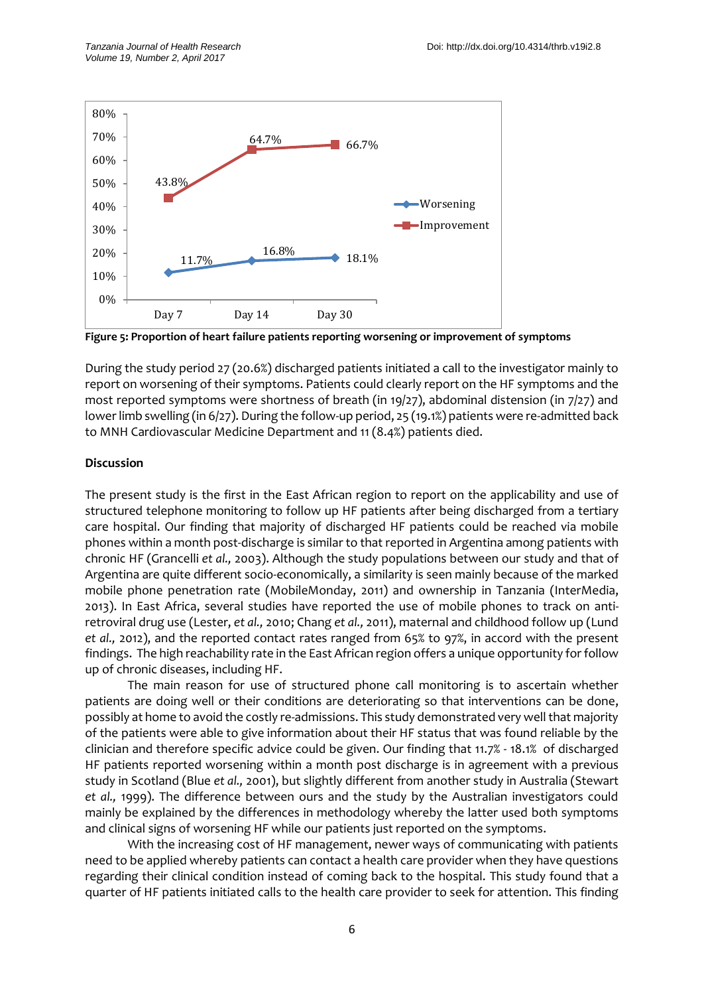

**Figure 5: Proportion of heart failure patients reporting worsening or improvement of symptoms**

During the study period 27 (20.6%) discharged patients initiated a call to the investigator mainly to report on worsening of their symptoms. Patients could clearly report on the HF symptoms and the most reported symptoms were shortness of breath (in 19/27), abdominal distension (in 7/27) and lower limb swelling (in 6/27). During the follow-up period, 25 (19.1%) patients were re-admitted back to MNH Cardiovascular Medicine Department and 11 (8.4%) patients died.

# **Discussion**

The present study is the first in the East African region to report on the applicability and use of structured telephone monitoring to follow up HF patients after being discharged from a tertiary care hospital. Our finding that majority of discharged HF patients could be reached via mobile phones within a month post-discharge is similar to that reported in Argentina among patients with chronic HF [\(Grancelli](#page-7-5) *et al.,* 2003). Although the study populations between our study and that of Argentina are quite different socio-economically, a similarity is seen mainly because of the marked mobile phone penetration rate (Mobil[eMonday,](#page-8-3) 2011) and ownership in Tanzania [\(InterMedia,](#page-8-4) [2013\)](#page-8-4). In East Africa, several studies have reported the use of mobile phones to track on antiretroviral drug use [\(Lester,](#page-7-6) *et al.,* 2010; [Chang](#page-7-7) *et al.,* 2011), maternal and childhood follow up [\(Lund](#page-7-8) *[et al.,](#page-7-8)* 2012), and the reported contact rates ranged from 65% to 97%, in accord with the present findings. The high reachability rate in the East African region offers a unique opportunity for follow up of chronic diseases, including HF.

The main reason for use of structured phone call monitoring is to ascertain whether patients are doing well or their conditions are deteriorating so that interventions can be done, possibly at home to avoid the costly re-admissions. This study demonstrated very well that majority of the patients were able to give information about their HF status that was found reliable by the clinician and therefore specific advice could be given. Our finding that 11.7% - 18.1% of discharged HF patients reported worsening within a month post discharge is in agreement with a previous study in Scotland (Blue *[et al.,](#page-7-9)* 2001), but slightly different from another study in Australia [\(Stewart](#page-8-5) *[et al.,](#page-8-5)* 1999). The difference between ours and the study by the Australian investigators could mainly be explained by the differences in methodology whereby the latter used both symptoms and clinical signs of worsening HF while our patients just reported on the symptoms.

With the increasing cost of HF management, newer ways of communicating with patients need to be applied whereby patients can contact a health care provider when they have questions regarding their clinical condition instead of coming back to the hospital. This study found that a quarter of HF patients initiated calls to the health care provider to seek for attention. This finding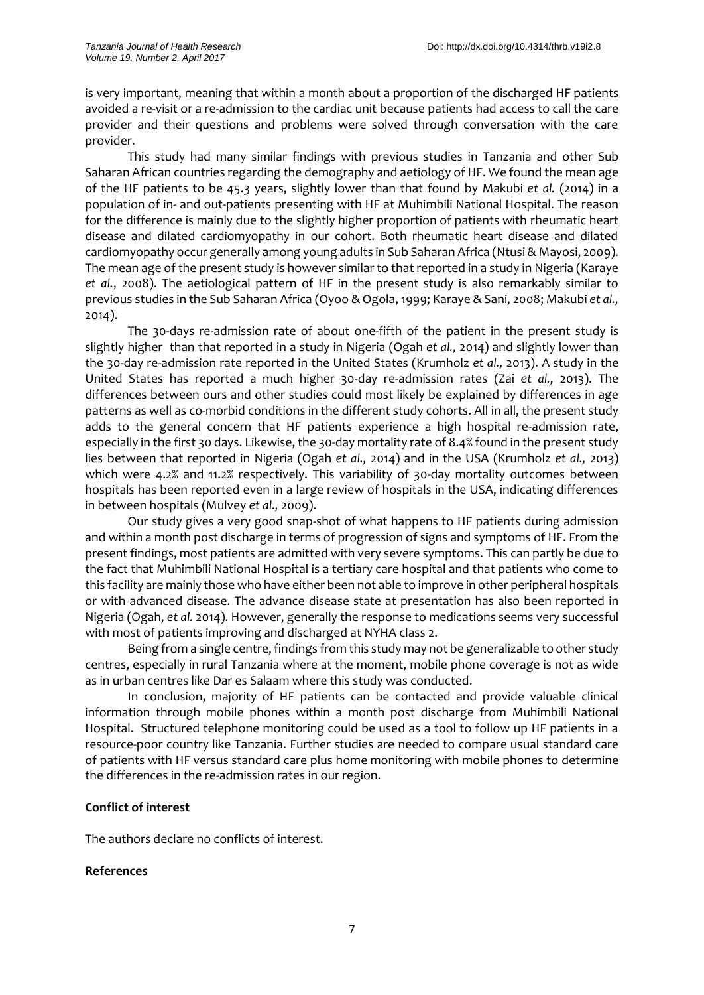is very important, meaning that within a month about a proportion of the discharged HF patients avoided a re-visit or a re-admission to the cardiac unit because patients had access to call the care provider and their questions and problems were solved through conversation with the care provider.

This study had many similar findings with previous studies in Tanzania and other Sub Saharan African countries regarding the demography and aetiology of HF. We found the mean age of the HF patients to be 45.3 years, slightly lower than that found by Makubi *et al.* (2014) in a population of in- and out-patients presenting with HF at Muhimbili National Hospital. The reason for the difference is mainly due to the slightly higher proportion of patients with rheumatic heart disease and dilated cardiomyopathy in our cohort. Both rheumatic heart disease and dilated cardiomyopathy occur generally among young adults in Sub Saharan Africa [\(Ntusi &](#page-8-6) Mayosi, 2009). The mean age of the present study is however similar to that reported in a study in Nigeria (Karaye *et al.*, 2008). The aetiological pattern of HF in the present study is also remarkably similar to previous studies in the Sub Saharan Africa [\(Oyoo &](#page-8-7) Ogola, 1999; [Karaye &](#page-7-10) Sani, 2008; [Makubi](#page-7-11) *et al.,* [2014\)](#page-7-11).

The 30-days re-admission rate of about one-fifth of the patient in the present study is slightly higher than that reported in a study in Nigeria [\(Ogah](#page-8-8) *et al.,* 2014) and slightly lower than the 30-day re-admission rate reported in the United States [\(Krumholz](#page-7-12) *et al.,* 2013). A study in the United States has reported a much higher 30-day re-admission rates (Zai *[et al.,](#page-8-9)* 2013). The differences between ours and other studies could most likely be explained by differences in age patterns as well as co-morbid conditions in the different study cohorts. All in all, the present study adds to the general concern that HF patients experience a high hospital re-admission rate, especially in the first 30 days. Likewise, the 30-day mortality rate of 8.4% found in the present study lies between that reported in Nigeria [\(Ogah](#page-8-10) *et al.,* 2014) and in the USA [\(Krumholz](#page-7-12) *et al.,* 2013) which were 4.2% and 11.2% respectively. This variability of 30-day mortality outcomes between hospitals has been reported even in a large review of hospitals in the USA, indicating differences in between hospitals [\(Mulvey](#page-8-11) *et al.,* 2009).

Our study gives a very good snap-shot of what happens to HF patients during admission and within a month post discharge in terms of progression of signs and symptoms of HF. From the present findings, most patients are admitted with very severe symptoms. This can partly be due to the fact that Muhimbili National Hospital is a tertiary care hospital and that patients who come to this facility are mainly those who have either been not able to improve in other peripheral hospitals or with advanced disease. The advance disease state at presentation has also been reported in Nigeria [\(Ogah,](#page-8-10) *et al.* 2014). However, generally the response to medications seems very successful with most of patients improving and discharged at NYHA class 2.

Being from a single centre, findings from this study may not be generalizable to other study centres, especially in rural Tanzania where at the moment, mobile phone coverage is not as wide as in urban centres like Dar es Salaam where this study was conducted.

In conclusion, majority of HF patients can be contacted and provide valuable clinical information through mobile phones within a month post discharge from Muhimbili National Hospital. Structured telephone monitoring could be used as a tool to follow up HF patients in a resource-poor country like Tanzania. Further studies are needed to compare usual standard care of patients with HF versus standard care plus home monitoring with mobile phones to determine the differences in the re-admission rates in our region.

# **Conflict of interest**

The authors declare no conflicts of interest.

# **References**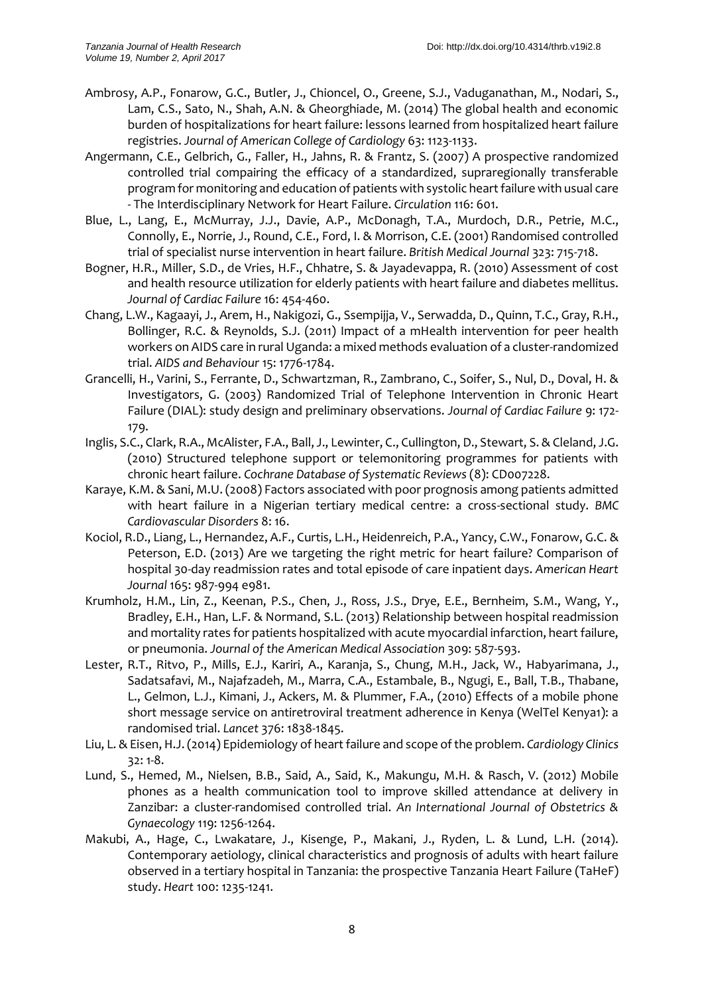- <span id="page-7-4"></span>Ambrosy, A.P., Fonarow, G.C., Butler, J., Chioncel, O., Greene, S.J., Vaduganathan, M., Nodari, S., Lam, C.S., Sato, N., Shah, A.N. & Gheorghiade, M. (2014) The global health and economic burden of hospitalizations for heart failure: lessons learned from hospitalized heart failure registries. *Journal of American College of Cardiology* 63: 1123-1133.
- Angermann, C.E., Gelbrich, G., Faller, H., Jahns, R. & Frantz, S. (2007) A prospective randomized controlled trial compairing the efficacy of a standardized, supraregionally transferable program for monitoring and education of patients with systolic heart failure with usual care - The Interdisciplinary Network for Heart Failure. *Circulation* 116: 601.
- <span id="page-7-9"></span>Blue, L., Lang, E., McMurray, J.J., Davie, A.P., McDonagh, T.A., Murdoch, D.R., Petrie, M.C., Connolly, E., Norrie, J., Round, C.E., Ford, I. & Morrison, C.E. (2001) Randomised controlled trial of specialist nurse intervention in heart failure. *British Medical Journal* 323: 715-718.
- <span id="page-7-1"></span>Bogner, H.R., Miller, S.D., de Vries, H.F., Chhatre, S. & Jayadevappa, R. (2010) Assessment of cost and health resource utilization for elderly patients with heart failure and diabetes mellitus. *Journal of Cardiac Failure* 16: 454-460.
- <span id="page-7-7"></span>Chang, L.W., Kagaayi, J., Arem, H., Nakigozi, G., Ssempijja, V., Serwadda, D., Quinn, T.C., Gray, R.H., Bollinger, R.C. & Reynolds, S.J. (2011) Impact of a mHealth intervention for peer health workers on AIDS care in rural Uganda: a mixed methods evaluation of a cluster-randomized trial. *AIDS and Behaviour* 15: 1776-1784.
- <span id="page-7-5"></span>Grancelli, H., Varini, S., Ferrante, D., Schwartzman, R., Zambrano, C., Soifer, S., Nul, D., Doval, H. & Investigators, G. (2003) Randomized Trial of Telephone Intervention in Chronic Heart Failure (DIAL): study design and preliminary observations. *Journal of Cardiac Failure* 9: 172- 179.
- <span id="page-7-3"></span>Inglis, S.C., Clark, R.A., McAlister, F.A., Ball, J., Lewinter, C., Cullington, D., Stewart, S. & Cleland, J.G. (2010) Structured telephone support or telemonitoring programmes for patients with chronic heart failure. *Cochrane Database of Systematic Reviews* (8): CD007228.
- <span id="page-7-10"></span>Karaye, K.M. & Sani, M.U. (2008) Factors associated with poor prognosis among patients admitted with heart failure in a Nigerian tertiary medical centre: a cross-sectional study. *BMC Cardiovascular Disorders* 8: 16.
- <span id="page-7-2"></span>Kociol, R.D., Liang, L., Hernandez, A.F., Curtis, L.H., Heidenreich, P.A., Yancy, C.W., Fonarow, G.C. & Peterson, E.D. (2013) Are we targeting the right metric for heart failure? Comparison of hospital 30-day readmission rates and total episode of care inpatient days. *American Heart Journal* 165: 987-994 e981.
- <span id="page-7-12"></span>Krumholz, H.M., Lin, Z., Keenan, P.S., Chen, J., Ross, J.S., Drye, E.E., Bernheim, S.M., Wang, Y., Bradley, E.H., Han, L.F. & Normand, S.L. (2013) Relationship between hospital readmission and mortality rates for patients hospitalized with acute myocardial infarction, heart failure, or pneumonia. *Journal of the American Medical Association* 309: 587-593.
- <span id="page-7-6"></span>Lester, R.T., Ritvo, P., Mills, E.J., Kariri, A., Karanja, S., Chung, M.H., Jack, W., Habyarimana, J., Sadatsafavi, M., Najafzadeh, M., Marra, C.A., Estambale, B., Ngugi, E., Ball, T.B., Thabane, L., Gelmon, L.J., Kimani, J., Ackers, M. & Plummer, F.A., (2010) Effects of a mobile phone short message service on antiretroviral treatment adherence in Kenya (WelTel Kenya1): a randomised trial. *Lancet* 376: 1838-1845.
- <span id="page-7-0"></span>Liu, L. & Eisen, H.J. (2014) Epidemiology of heart failure and scope of the problem. *Cardiology Clinics* 32: 1-8.
- <span id="page-7-8"></span>Lund, S., Hemed, M., Nielsen, B.B., Said, A., Said, K., Makungu, M.H. & Rasch, V. (2012) Mobile phones as a health communication tool to improve skilled attendance at delivery in Zanzibar: a cluster-randomised controlled trial. *An International Journal of Obstetrics & Gynaecology* 119: 1256-1264.
- <span id="page-7-11"></span>Makubi, A., Hage, C., Lwakatare, J., Kisenge, P., Makani, J., Ryden, L. & Lund, L.H. (2014). Contemporary aetiology, clinical characteristics and prognosis of adults with heart failure observed in a tertiary hospital in Tanzania: the prospective Tanzania Heart Failure (TaHeF) study. *Heart* 100: 1235-1241.